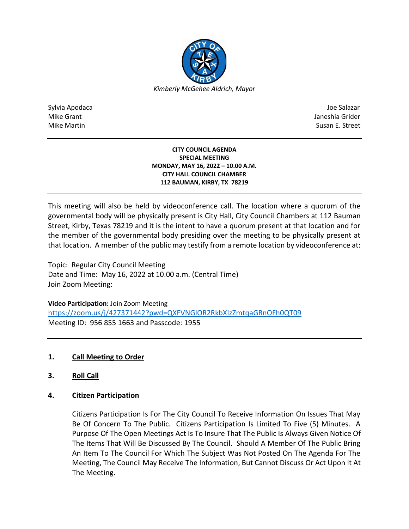

Sylvia Apodaca Joe Salazar Joe Salazar Joe Salazar Joe Salazar Joe Salazar Joe Salazar Joe Salazar Joe Salazar Mike Grant Janeshia Grider Mike Martin Susan E. Street

## **CITY COUNCIL AGENDA SPECIAL MEETING MONDAY, MAY 16, 2022 – 10.00 A.M. CITY HALL COUNCIL CHAMBER 112 BAUMAN, KIRBY, TX 78219**

This meeting will also be held by videoconference call. The location where a quorum of the governmental body will be physically present is City Hall, City Council Chambers at 112 Bauman Street, Kirby, Texas 78219 and it is the intent to have a quorum present at that location and for the member of the governmental body presiding over the meeting to be physically present at that location. A member of the public may testify from a remote location by videoconference at:

Topic: Regular City Council Meeting Date and Time: May 16, 2022 at 10.00 a.m. (Central Time) Join Zoom Meeting:

**Video Participation:** Join Zoom Meeting <https://zoom.us/j/427371442?pwd=QXFVNGlOR2RkbXIzZmtqaGRnOFh0QT09> Meeting ID: 956 855 1663 and Passcode: 1955

## **1. Call Meeting to Order**

- **3. Roll Call**
- **4. Citizen Participation**

Citizens Participation Is For The City Council To Receive Information On Issues That May Be Of Concern To The Public. Citizens Participation Is Limited To Five (5) Minutes. A Purpose Of The Open Meetings Act Is To Insure That The Public Is Always Given Notice Of The Items That Will Be Discussed By The Council. Should A Member Of The Public Bring An Item To The Council For Which The Subject Was Not Posted On The Agenda For The Meeting, The Council May Receive The Information, But Cannot Discuss Or Act Upon It At The Meeting.